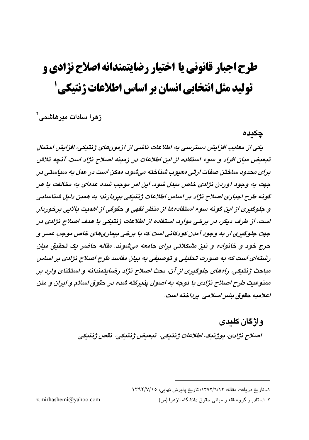# طرح اجبار قانوني يا اختيار رضايتمندانه اصلاح نژادي و تولید مثل انتخابی انسان بر اساس اطلاعات ژنتیکی 5

زهرا سادات میرهاشمی<sup>۲</sup>

چکىدە

یکی از معایب افزایش دسترسی به اطلاعات ناشی از آزمونهای ژبتیکی، افزایش احتمال تبعیض میان افراد و سوء استفاده از این اطلاعات در زمینه اصلاح نژاد است. آنچه تلاش برای محدود ساختن صفات ارثی معدوب شناخته میشود، ممکن است در عمل به سیاستی در جهت به وجود آوردن نژادی خاص مبدل شود. این امر موجب شده عدهای به مخالفت با هر گونه طرح اجباري اصلاح نژاد پر اساس اطلاعات ژبنتيکي پيردازند؛ په هفتن دليل شناسايي و حلوگېږي از اين گونه سوء استفادهها از منظر فقهي و حقوقي از اهميت پالايي پرخوردار است. از طرف دیگر، در برخی موارد، استفاده از اطلاعات ژنتیکی با هدف اصلاح نژادی در جهت جلوگيري از به وجود آمدن کودکاني است که با برخي بيماريهاي خاص موجب عسر و حرج خود و خانواده و نيز مشكلاتي براي جامعه مي شوند. مقاله حاضر يک تحقيق ميان رشتهای است که به صورت تحلیلی و توصیفی به بیان مقاسد طرح اصلاح نژاپی بر اساس مباحث ژنتیکی، راههای جلوگیری از آن، بحث اصلاح نژاد رضایتمندانه و استثنای وارد بر ممنوعت طرح اصلاح نژادي يا توجه به اصول پذيرفته شده در حقوق اسلام و ايران و متن اعلاميه حقوق بشير اسلامي پرياخته است.

> وإژگان كلىدى اصلاح نژادي، يوژنپک، اطلاعات ژنتيکي، تبعيض ژنتيکي، نقص ژنتيکي

> > ١ـ تاريخ دريافت مقاله: ١٣٩٢/٦/١٢؛ تاريخ پذيرش نهايي: ١٣٩٢/٧/١٥

۲ـ استادیار گروه فقه و مبانی حقوق دانشگاه الزهرا (س)

z.mirhashemi@yahoo.com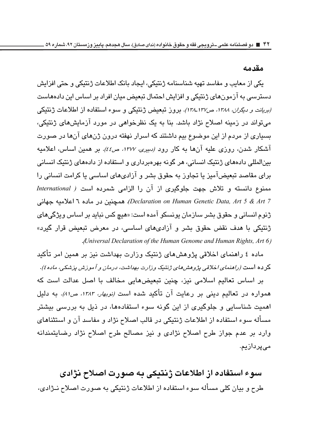#### مقدمه

یکی از معایب و مفاسد تهیه شناسنامه ژنتیکی، ایجاد بانک اطلاعات ژنتیکی و حتی افزایش دسترسی به آزمونهای ژنتیکی و افزایش احتمال تبعیض میان افراد بر اساس این دادهماست (بریانت و دیگران، ۱۳۸۸، ص۱۳۷ـ۱۳۸). بروز تبعیض ژنتیکی و سوء استفاده از اطلاعات ژنتیکی می تواند در زمینه اصلاح نژاد باشد. بنا به یک نظرخواهی در مورد آزمایشهای ژنتیکی، بسیاری از مردم از این موضوع بیم داشتند که اسرار نهفته درون ژنهای آنها در صورت آشکار شدن، روزی علیه آنها به کار رود *(دبیری، ۱۳۷۷، ص٤٤).* بر همین اساس، اعلامیه سنالمللی دادههای ژنتنک انسانی، هر گونه پهروبرداری و استفاده از دادههای ژنتنک انسانی برای مقاصد تبعیضآمیز یا تجاوز به حقوق بشر و آزادیهای اساسی یا کرامت انسانی را ممنوع دانسته و تلاش جهت جلوگیری از آن را الزامی شمرده است ( International Declaration on Human Genetic Data, Art 5 & Art 7). همچنین در ماده ٦ اعلامیه جهانی ژنوم انسانی و حقوق بشر سازمان پونسکو آمده است: «هیچ کس نباید بر اساس ویژگیهای ژنتیکی با هدف نقض حقوق بشر و آزادیهای اساسی، در معرض تبعیض قرار گیرد» (Universal Declaration of the Human Genome and Human Rights, Art 6.

ماده ٤ راهنمای اخلاقی پژوهش های ژنتیک وزارت بهداشت نیز بر همین امر تأکید كرده است (رامنماي اخلاقي پژومش ماي ژنتيک وزارت بهداشت، درمان و آموزش پزشکي، ماده٤).

بر اساس تعالیم اسلامی نیز، چنین تبعیضهایی مخالف با اصل عدالت است که همواره در تعالیم دینی بر رعایت آن تأکید شده است *(نوبهار، ۱۳۸۳، ص۸۱)*. به دلیل اهمیت شناسایی و جلوگیری از این گونه سوء استفادهها، در ذیل به بررسی بیشتر مسأله سوء استفاده از اطلاعات ژنتیکی در قالب اصلاح نژاد و مفاسد آن و استثناهای وارد بر عدم جواز طرح اصلاح نژادی و نیز مصالح طرح اصلاح نژاد رضایتمندانه مے پردازیم.

سوء استفاده از اطلاعات ژنتیکی به صورت اصلاح نژادی طرح و بیان کلی مسأله سوء استفاده از اطلاعات ژنتیکی به صورت اصلاح نـژادی،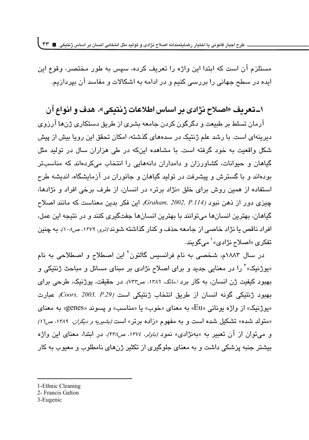مستلزم آن است كه ابتدا اين واژه را تعريف كرده، سپس به طور مختصر، وقوع اين ایده در سطح جهانی را پررسی کنیم و در ادامه به اشکالات و مفاسد آن پیردازیم.

## **%UkG<m ^ z5.UD BX dBj 1Hz=7;} S &- z\$ +**

آرمان تسلط بر طبیعت و دگرگون کردن جامعه بشری از طریق دستکاری ژن۵ا آرزوی دیرینهای است. با رشد علم ژنتیک در سدههای گذشته، امکان تحقق این رویا بیش از پیش شکل واقعیت به خود گرفته است. با مشاهده اینکه در طی هزاران سال در تولید مثل گیاهان و حیوانات، کشاورزان و دامداران دانههایی را انتخاب میکردهاند که مناسبتر بودهاند و با گسترش و پیشرفت در تولید گیاهان و جانوران در آزمایشگاه، اندیشه طرح استفاده از همین روش برای خلق «نژاد برتر» در انسان، از طرف برخی افراد و نژادها، جيزي دور از ذهن نبود /Araham, 2002, P.114، اين فكر بدين معناست كه مانند اصلاح گیاهان، بهترین انسانها می توانند با بهترین انسانها جفتگیری کنند و در نتیجه این عمل، افراد ناقص یا نژاد خاصی از جامعه حذف و کنار گذاشته شون*د (ترو، ۱۳۷۹، ص۱۰۸).* به چنین تفکري «اصلاح نژادي» ` مي گويند.

در سال ۱۸۸۳م، شخصی به نام فرانسیس گالتون<sup>۲</sup> این اصطلاح و اصطلاحی به نام «یوژنیک»<sup>۳</sup> را در معنایی جدید و برای اصلاح نژادی بر مبنای مسائل و مباحث ژنتیکی و بهبود کیفیت ژن انسان، به کار برد *(مانگ، ١٣٨٦، ص٣٣٢).* در حقیقت، پوژنیک، طرحی برای بهبود ژنتیکی گونه انسان از طریق انتخاب ژنتیکی است *(Coors, 2003, P.29).* عبارت «يوژنيک» از واژه يوناني «Eu» به معناي «خوب» يا «مناسب» و يسوند «genes» به معناي «متولد شده» تشكيل شده است و به مفهوم «زاده برتر» است *(بشيريه و ديگران، ١٣٨٩، ص١٦)* و میتوان از ان تعبیر به «بهنژادی» نمود *(باولر، ۱۳۷٤، ص۲۳۸).* در ابتدا، معنای این واژه بیشتر جنبه پزشکی داشت و به معنای جلوگیری از تکثیر ژنهای نامطلوب و معیوب به کار

- 1-Ethnic Cleaning
- 2- Francis Galton
- 3-Eugenic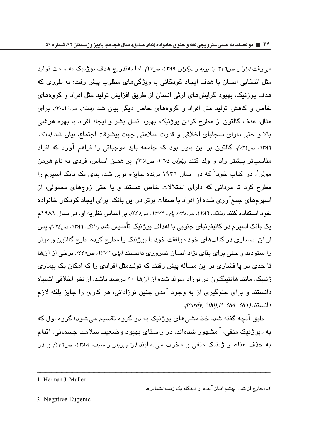م<sub>حا</sub>رفت *(باولر، ص٤٦٪ بشيريه و ديگران. ١٣٨٩، ص١٧)*. اما بهتدريج هدف يوژنيک به سمت توليد مثل انتخابی انسان یا هدف ایجاد کوپکانی یا ویژگیهای مطلوب پیش رفت؛ به طوری که هدف بو ژنیک، بهبور گرایشهای ارثی انسان از طریق افزایش تولید مثل افراد و گروههای خاص و کاهش تولید مثل افراد و گروههای خاص دیگر بیان ش*د (ممان، ص۱۹۔۲۰)*. برای مثال، هدف گالتون از مطرح کردن پوژنیک، بهبود نسل بشر و ایجاد افراد با بهره هوشی بالا و حتى داراى سجاياى اخلاقى و قدرت سلامتى جهت پيشرفت اجتماع، بيان شد *(مانگ، ۱۳۸۲، ص۳۱).* گالتون بر این باور بود که جامعه باید موجباتی را فراهم آورد که افراد مناسبتر بیشتر زاد و ولد کنند *(باولر، ۱۳۷٤، ص۲۲۸).* بر همین اساس، فردی به نام هرمن مولر <sup>י</sup>، در کتاب خود<sup>۲</sup> که در سال ۱۹۳۰ برنده جایزه نوبل شد، بنای یک بانک اسپرم را مطرح کرد تا مردانی که دارای اختلالات خاص هستند و یا حتی زوجهای معمولی، از اسپرمهای جمعآوری شده از افراد با صفات برتر در این بانک، برای ایجاد کودکان خانواده خود استفاده كنند *(مانگ، ١٣٨٦، ص ٧٣٤؛ پاي، ١٣٧٣، ص٤٤٥).* بر اساس نظريه او، در سال ١٩٨١م یک بانک اسپرم در کالیفرنیای جنوبی با اهداف بو<u>ژ</u>نیک تأسیس ش*د (مانگ، ۱۳۸۲، ص۲۶).* پس از آن، بسیاری در کتابهای خود موافقت خود با پوژنیک را مطرح کرده، طرح گالتون و مولر را ستودند و حتی برای بقای نژاد انسان ضروری دانستن*د (پای، ۱۳۷۳، ص٤٤٥).* برخی از آنها تا حد*ی* در یا فشاری بر این مسأله پیش رفتند که تولیدمثل افرادی را که امکان یک بیماری ژنتیک، مانند هانتینگتون در نوزاد متولد شده از آنها ٥٠ درصد باشد، از نظر اخلاقی اشتباه دانستند و برای جلوگیری از به وجود آمدن چنین نوزادانی، هر کاری را جایز بلکه لازم %dwq *385 384, .P,)200 ,Purdy*

طبق آنچه گفته شد، خطءشی های پوژنیک به دو گروه تقسیم می شود؛ گروه اول که به «یوژنیک منفی»<sup>۳</sup> مشهور شدهاند، در راستای بهبود وضعیت سلامت جسمانی، اقدام به حذف عناصر ژنتیک منفی و مخرب می نمایند *(رنجبریان و سبف، ۱۳۸۸، ص۱٤*۲) و در

ــــــــــــــــــــــــــــــــــــــــــــــــــــــــــــــــــــــــــــــــــــــــــــــــــــــــــــــــــــــــــــــــــــــــــــــــــــــــــــــــــــــــــــــــــــــــــــــ

1- Herman J. Muller

۲ـ «خارج از شب: چشم انداز اینده از دیدگاه یک زیستشناس».

3- Negative Eugenic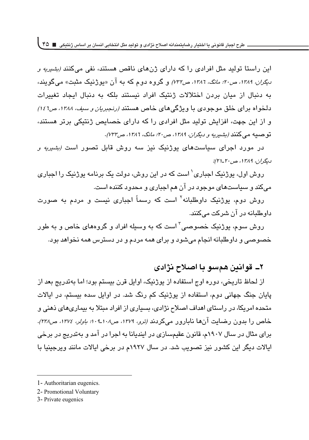این راستا تولید مثل افرادی را که دارای ژنهای ناقص هستند، نفی میکنند *(بشیریه و دیگران، ۱۲۸۹، ص۲۰: مانگ، ۱۳۸۲، ص۷۳۲)* و گروه دوم که به ان «یوژنیک مثبت» میگویند، به دنبال از میان بردن اختلالات ژنتیک افراد نیستند بلکه به دنبال ایجاد تغییرات دلخواه برای خلق موجودی با ویژگیهای خاص هستند *(رنجبریان و سیف، ۱۳۸۸، ص۱٤٦)* و از این جهت، افزایش تولید مثل افرادی را که دارای خصایص ژنتیکی برتر هستند، توصىيه مىكنند *(بشيريه و ديگران، ١٣٨٩، ص٢٠: مانگ، ١٣٨٦، ص٧٣٢)*.

در مورد اجرای سیاستهای بوژنیک نیز سه روش قابل تصور است *(بشیریه و دیگران، ۱۳۸۹، ص۲۰-۲۱):* 

روش اول، پوژنیک احیاری' است که در این روش، دولت یک برنامه پوژنیک را احیاری مي كند و سياستهاي موجود در آن هم اجباري و محدود كننده است.

روش دوم، یوژنیک داوطلبانه<sup>۲</sup> است که رسماً اجباری نیست و مردم به صورت داوطلبانه در آن شرکت میکنند.

روش سوم، پوژنیک خصوصی<sup>۳</sup> است که به وسیله افراد و گروههای خاص و به طور خصوصی و داوطلبانه انجام میشود و برای همه مردم و در دسترس همه نخواهد بود.

#### **% qz=y} Xv BD ^ z5.**

از لحاظ تاريخي، دوره اوج استفاده از پوژنيک، اوايل قرن بيستم بود؛ اما بهتدريج بعد از پایان جنگ جهانی دوم، استفاده از پوژنیک کم رنگ شد. در اوایل سده بیستم، در ایالات متحده امریکا، در راستای اهداف اصلاح نژادی، بسیاری از افراد مبتلا به بیماریهای ذهنی و خاص را بدون رضایت انها نابارور میکردند *(ترو، ۱۳۷۹، ص۱۰۸*-۰*۱: باولر، ۱۳۷٤، ص۲۲۸)*. برای مثال در سال ۱۹۰۷م، قانون عقیمسازی در ایندیانا به اجرا در آمد و بهتدریج در برخی ایالات دیگر این کشور نیز تصویب شد. در سال ۱۹۲۷م در برخی ایالات مانند ویرجینیا با

<sup>1-</sup> Authoritarian eugenics.

<sup>2-</sup> Promotional Voluntary

<sup>3-</sup> Private eugenics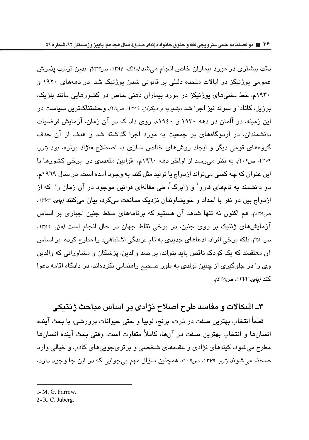دقت بیشتری در مورد بیماران خاص انجام میش*د (مانگ، ۱۳۸٤، ص۷۳۲)*. بدین ترتیب پذیرش عمومی یوژنیکز در ایالات متحده دلیلی بر قانونی شدن یوژنیک شد. در دهههای ۱۹۲۰ و ۱۹۳۰م، خط مشیهای یوژنیکز در مورد بیماران ذهنی خاص در کشورهایی مانند بلژیک، برزیل، کانادا و سوئد نیز اجرا شد *(شیریه و دیگران، ۱۳۸۹، ص۱۸).* وحشتناکترین سیاست در این زمینه، در آلمان در دهه ۱۹۳۰ و ۱۹۶۰م. روی داد که در آن زمان، آزمایش فرضیات دانشمندان، در اردوگاههای پر جمعیت به مورد اجرا گذاشته شد و هدف از آن حذف گروههای قومی دیگر و ایجاد روشهای خالص سازی به اصطلاح «نژاد برتر»، بود *(ترو*، *۱۳۷۹، ص۲۰۹).* به نظر می رسد از اواخر دهه ۱۹٦۰م، قوانین متعددی در برخی کشورها با این عنوان که چه کسی می تواند ازدواج یا تولید مثل کند، به وجود آمده است. در سال ۱۹۲۹م. دو دانشمند به نامهای فارو<sup>۰</sup> و ژابرگ<sup>۲</sup>، طی مقالهای قوانین موجود در آن زمان را که از ازدواج بین دو نفر با اجداد و خویشاوندان نزدیک ممانعت میکرد، بیان میکنند *(پای، ۱۳۷۳*، ص 11⁄2). هم اكنون نه تنها شاهد آن هستيم كه برنامههاى سقط جنين اجبارى بر اساس آزمایشهای ژنتیک بر روی جنین، در برخی نقاط جهان در حال انجام است *(میل، ١٣٨٦،* ص *۲۸۰)*، بلکه برخی افراد، ادعاهای جدیدی به نام «زندگی اشتباهی» را مطرح کرده، بر اساس آن معتقدند که یک کودک ناقص باید بتواند، بر ضد والدین، پزشکان و مشاورانی که والدین وی را در جلوگیری از چنین تولدی به طور صحیح راهنمایی نکردهاند، در دادگاه اقامه دعوا كند *(ياي: ١٣٧٣، ص٤٢٨)*.

## **% ]7B - SXBow Ud ^ z5. UD BX IOBEw 1Hz=7;**

قطعاً انتخاب بهترين صفت در ذرت، برنج، لوبيا و حتى حيوانات پرورشي، با بحث آينده انسانها و انتخاب بهترين صفت در آنها، كاملاً متفاوت است. وقتى بحث آينده انسانها مطرح می شود، کینههای نژادی و عقدههای شخصی و برتریجویی های کاذب و خیالی وارد صحنه میشون*د (ترو، ۱۳۷۹، ص۱۰۹). هم*چنین سؤال مهم بیجوابی که در این جا وجود دارد،

1- M. G. Farrow.

<sup>2 -</sup> R. C. Juberg.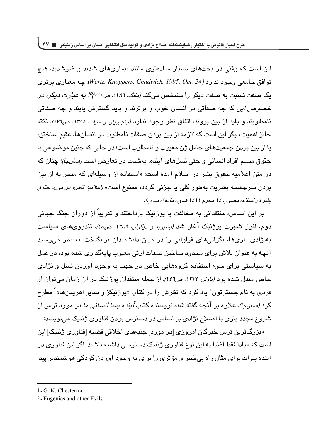**طرح اجبار قانونی یا اختیار رضایتمندانه اصالح نژادی و تولید مثل انتخابی انسان بر اساس ژنتیکی 47**

این است که وقتی در بحثهای بسیار سادهتری مانند بیماریهای شدید و غیرشدید، هیچ c i^U 9i% q'% *24 ,Oct 1995, ,Chadwick ,Knoppers ,Wertz*L W` ;'^scs; یک صفت نسبت به صفت دیگر را مشخص میکند *(مانگ، ۱۳۸۲، ص۷۳۲)؟! به عبارت دیگر، در* خص*وص این* که چه صفاتی در انسان خوب و پرترند و باید گسترش بایند و چه صفاتی  $\frac{d\mathbf{y}}{d\mathbf{y}}$  نکته ( سین بروند، اتفاق نظر وجود ندارد *(رنجبریان و سیف، ۱۳۸۸، ص۱۲*۲). نکته حائز اهمیت دیگر این است که لازمه از بین بردن صفات نامطلوب در انسانها، عقیم ساختن، یا از بین بردن جمعیتهای حامل ژن معبوب و نامطلوب است؛ در حالی که چنین موضوعی با حقوق مسلم افراد انسانی و حتی نسلهای آینده، بهشدت در تعارض است *(ممان جا)؛* چنان که در متن اعلامیه حقوق بشر در اسلام آمده است: «استفاده از وسیلهای که منجر به از بین بردن سرچشمه بشريت بهطور كلم يا جزئم گردد، ممنوع است» *(اعلاميه قاهره در مورد حقوق بشر در اسلام، مصوب ١٤* محرم ١٤١١ *هـق.، ماده٢، بند ب)*.

بر اين اساس، منتقداني به مخالفت با يوژنيک پرداختند و تقريباً از دوران جنگ جهاني دوم، افول شهرت بوژنیک آغاز شد *(بشیریه و دیگران، ۱۳۸۹، ص۱۸).* تندروی های سیاست بهنژادی نازیها، نگرانی های فراوانی را در میان دانشمندان برانگیخت. به نظر می رسید آنچه به عنوان تلاش برای محدود ساختن صفات ارثی معبوب پایهگذاری شده بود، در عمل به سیاستی برای سوء استفاده گروههایی خاص در جهت به وجود آوردن نسل و نژادی خاص مبدل شده بود *(باولر، ١٣٧٤، ص٢٤٦*). از جمله منتقدان يوژنيک در ان زمان مىتوان از فردی به نام چسترتون<sup>י</sup> یاد کرد که نظرش را در کتاب «یوژنیکز و سایر اهریمنها»<sup>۲</sup> مطرح کرد *(همانجا)*. علاوه در آنچه گفته شد، نویسنده کتاب *آ*ین*ده پسا انسانی ما* در مورد ترس از شروع مجدد بازی با اصلاح نژادی بر اساس در دسترس بودن فناوری ژنتیک می نویسد:

«بزرگترین ترس خبرگان امروزی [در مورد] جنبههای اخلاقی قضیه [فناوری ژنتیک] این است که مبادا فقط اغنیا به این نوع فناوری ژنتیک دسترسی داشته باشند. اگر این فناوری در آینده بتواند برای مثال راه بی خطر و مؤثری را برای به وجود آوردن کودکی هوشمندتر پیدا

<sup>1 -</sup> G. K. Chesterton.

<sup>2-</sup> Eugenics and other Evils.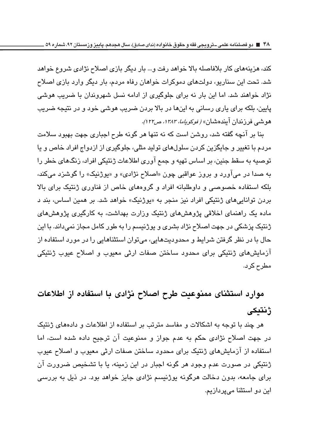کند، هزینههای کار بلافاصله بالا خواهد رفت و… بار دیگر بازی اصلاح نژادی شروع خواهد شد. تحت این سناریو، دولتهای دموکرات خواهان رفاه مردم، بار دیگر وارد بازی اصلاح نژاد خواهند شد. اما این بار نه برای جلوگیری از ادامه نسل شهروندان با ضریب هوشی يايين، بلكه برا*ي* ياري رساني به اينها در بالا بردن ضريب هوشي خود و در نتيجه ضريب هوشی فرزندان ایندهشان» *( نوکویاما، ۱۳۸۳، ص۱۲۲.* 

بنا بر آنچه گفته شد، روشن است که نه تنها هر گونه طرح اجباری جهت بهبود سلامت مردم با تغییر و جایگزین کردن سلولهای تولید مثلی، جلوگیری از ازدواج افراد خاص و یا توصيه به سقط جنين، بر اساس تهيه و جمع آوري اطلاعات ژنتيكي افراد، زنگهاي خطر را به صدا در مي آورد و بروز عواقبي چون «اصلاح نژادي» و «يوژنيک» را گوشزد مي کند، بلکه استفاده خصوصی و داوطلبانه افراد و گروههای خاص از فناوری ژنتیک برای بالا بردن توانایی *ه*ای ژنتیکی افراد نیز منجر به «پوژنیک» خواهد شد. بر همین اساس، بند د ماده یک راهنمای اخلاقی پژوهشهای ژنتیک وزارت بهداشت، به کارگیری پژوهشهای ژنتیک پزشکی در جهت اصلاح نژاد بشری و پوژنیسم را به طور کامل مجاز نمیداند. با این حال با در نظر گرفتن شرایط و محدودیتهایی، می توان استثناهایی را در مورد استفاده از آزمایشهای ژنتیکی برای محدود ساختن صفات ارثی معیوب و اصلاح عیوب ژنتیکی مطرح كرد.

# **w KHX{B. xw{j=F Ud ^ z5. BD BoHX, dBj ژنتىكى**

هر چند با توجه به اشکالات و مفاسد مترتب بر استفاده از اطلاعات و دادههای ژنتیک در جهت اصلاح نژادی حکم به عدم جواز و ممنوعیت آن ترجیح داده شده است، اما استفاده از آزمایشهای ژنتیک برای محدود ساختن صفات ارثی معیوب و اصلاح عیوب ژنتیکی در صورت عدم وجود هر گونه اجبار در این زمینه، یا با تشخیص ضرورت آن برای جامعه، بدون دخالت هرگونه پوژنیسم نژادی جایز خواهد بود. در ذیل به بررسی این دو استثنا میپردازیم.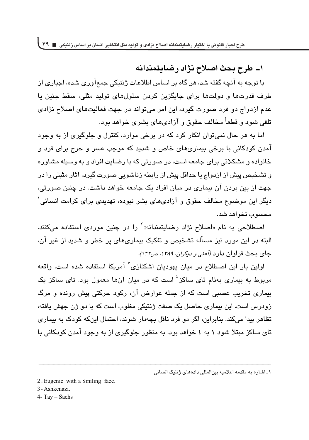<mark>\\_ طرح بحث اصلاح نژاد رضایتمندانه</mark>

با توجه به آنچه گفته شد، هر گاه بر اساس اطلاعات ژنتیکی جمعآوری شده، اجباری از طرف قدرتها و دولتها برای جایگزین کردن سلولهای تولید مثلی، سقط جنین با عدم ازدواج دو فرد صورت گیرد، این امر می تواند در جهت فعالیتهای اصلاح نژادی تلقی شود و قطعاً مخالف حقوق و آزادیهای بشری خواهد بود.

اما به هر حال نمی توان انکار کرد که در برخی موارد، کنترل و جلوگیری از به وجود آمدن کودکانی با برخی بیماریهای خاص و شدید که موجب عسر و حرج برای فرد و خانواده و مشکلاتی برای جامعه است، در صورتی که با رضایت افراد و به وسیله مشاوره و تشخیص پیش از ازدواج یا حداقل پیش از رابطه زناشویی صورت گیرد، آثار مثبتی را در جهت از بین بردن آن بیماری در میان افراد یک جامعه خواهد داشت. در چنین صورتی، دیگر این موضوع مخالف حقوق و آزادیهای بشر نبوده، تهدیدی برای کرامت انسانی` محسوب نخواهد شد.

اصطلاحی به نام «اصلاح نژاد رضایتمندانه»<sup>۲</sup> را در چنین موردی استفاده میکنند. البته در این مورد نیز مسأله تشخیص و تفکیک بیماریهای پر خطر و شدید از غیر آن، جای بحث فراوان دارد *(آهنی و دیگران، ۱۳۸۹، ص۱۲۲.).* 

 $\epsilon$ اولین بار این اصطلاح در میان یهودیان اشکنازی $^7$  آمریکا استفاده شده است. واقعه مربوط به بیماری بهنام تای ساکز <sup>؛</sup> است که در میان آنها معمول بود. تای ساکز یک بیماری تخریب عصبی است که از جمله عوارض آن، رکود حرکتی پیش رونده و مرگ زودرس است. این بیماری حاصل یک صفت ژنتیکی مغلوب است که با دو ژن جهش یافته، تظاهر پیدا میکند. بنابراین، اگر دو فرد ناقل بچهدار شوند، احتمال اینکه کودک به بیماری تای ساکز مبتلا شود ۱ به ٤ خواهد بود. به منظور جلوگیری از به وجود آمدن کودکانی با

ـــــــــــــــــــــــــــــــــــــــــــــــــــــــــــــــــــــــــــــــــــــــــــــــــــــــــــــــــــــــــــــــــــــــــــــــــــــــــــــــــــــــــــــــــــــــــــــ

- 3 Ashkenazi.
- $4 Tay Sachs$

۱ـ اشاره به مقدمه اعلامیه بینالمللی دادههای ژنتیک انسانی

<sup>2-</sup> Eugenic with a Smiling face.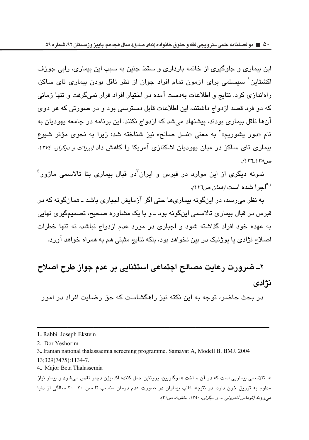این بیماری و جلوگیری از خاتمه بارداری و سقط جنین به سبب این بیماری، رابی جوزف اکشتاین` سیستمی برای آزمون تمام افراد جوان از نظر ناقل بودن بیماری تای ساکز، راهاندازی کرد. نتایج و اطلاعات بهدست آمده در اختیار افراد قرار نمیگرفت و تنها زمانی که دو فرد قصد ازدواج داشتند، این اطلاعات قابل دسترسی بود و در صورتی که هر دوی آنها ناقل بیماری بودند، پیشنهاد می شد که ازدواج نکنند. این برنامه در جامعه پهودیان به نام «دور یشوریم»<sup>۲</sup> به معنی «نسل صالح» نیز شناخته شد؛ زیرا به نحوی مؤثر شیوع بیماری تای ساکز در میان یهودیان اشکنازی آمریکا را کاهش داد *(بریانت و دیگران، ۱۳۷٤.* ص152*.(*۱۳۷).

 $^{\epsilon}$ نمونه دیگری از این موارد در قبرس و ایران ّدر قبال بیماری بتا تالاسمی ماژور siqy8bv *~Ey.&*  <sup>9</sup>

به نظر می٫رسد، در اینگونه بیماری۵ا حتی اگر آزمایش اجباری باشد ـ همانگونه که در قبرس در قبال بیماری تالاسمی اینگونه بود ـ و با یک مشاوره صحیح، تصمیمگیری نهایی به عهده خود افراد گذاشته شود و اجباری در مورد عدم ازدواج نباشد، نه تنها خطرات اصلاح نژادی یا پوژنیک در بین نخواهد بود، بلکه نتایج مثبتی هم به همراه خواهد آورد.

# **% Ua-Bj<Fw\_NtBjBxHL;KHX{B;<UDSj\*LUd^ نژادی**

در بحث حاضر، توجه به این نکته نیز راهگشاست که حق رضایت افراد در امور

ـــــــــــــــــــــــــــــــــــــــــــــــــــــــــــــــــــــــــــــــــــــــــــــــــــــــــــــــــــــــــــــــــــــــــــــــــــــــــــــــــــــــــــــــــــــــــــــ

1- تالاسمی بیماریی است که در آن ساخت هموگلوبین، پروتئین حمل کننده اکسپژن دچار نقص میشود و بیمار نیاز مداوم به تزریق خون دارد. در نتیجه، اغلب بیماران در صورت عدم درمان مناسب تا سن ۲۰ ـ۳۰ سالگی از دنیا میروند *(توماس آندرولی … و دیگران، ۱۳۸۰، بخش۸۰ ص۲۱).* 

<sup>1&</sup>lt;sub>-</sub> Rabbi Joseph Ekstein

<sup>2-</sup> Dor Yeshorim

<sup>3.</sup> Iranian national thalassaemia screening programme. Samavat A, Modell B. BMJ. 2004 13;329(7475):1134-7.

<sup>4.</sup> Major Beta Thalassemia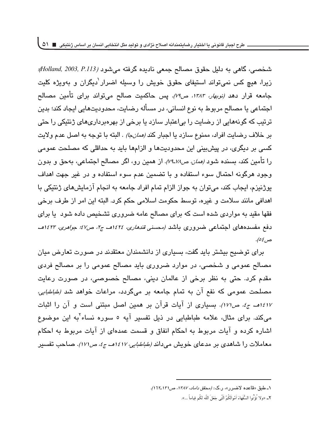شخصي، گاهي به دليل حقوق مصالح جمعي ناديده گرفته مي *شود (Holland, 2003, P.113)*؛ زیرا، هیچ کس نمیتواند استیفای حقوق خویش را وسیله اضرار<sup>'</sup>دیگران و بهویژه کلیت جامعه قرار دهد *(نوبهار، ١٣٨٣، ص٣٩)*. پس حاكميت صالح مى تواند براى تأمين مصالح اجتماعی یا مصالح مربوط به نوع انسانی، در مسأله رضایت، محدودیتهایی ایجاد کند؛ بدین ترتیب که گونههایی از رضایت را بیاعتبار سازد یا برخی از بهرهبرداری*ه*ای ژنتیکی را حتی بر خلاف رضايت افراد، ممنوع سازد يا اجبار كن*د (ممانجا) .* البته با توجه به اصل عدم ولايت کسی بر دیگری، در پیشبینی این محدودیتها و الزامها باید به حداقلی که مصلحت عمومی را تأمین کند، بسنده شود *(ممان، ص۱۸*/ـ*۷۹).* از همین رو، اگر مصالح اجتماعی، بهحق و بدون وجود هرگونه احتمال سوء استفاده و با تضمین عدم سوء استفاده و در غیر جهت اهداف پوژنیزم، ایجاب کند، می توان به جواز الزام تمام افراد جامعه به انجام آزمایشهای ژنتیکی با اهدافی مانند سلامت و غیره، توسط حکومت اسلامی حکم کرد. البته این امر از طرف برخی فقها مقید به مواردی شده است که برای مصالح عامه ضروری تشخیص داده شود یا برای دفع مفسدههای اجتماعی ضىروری باشد *(محسنی قندهاری، ١٤٢٤هـ، ج۲، ص۶۷: جواهری، ١٤٢٣هـ.* ص ٤٥).

برای توضیح بیشتر باید گفت، بسیاری از دانشمندان معتقدند در صورت تعارض میان مصالح عمومی و شخصی، در موارد ضروری باید مصالح عمومی را بر مصالح فردی مقدم كرد. حتى به نظر برخى از عالمان دينى، مصالح خصوصى، در صورت رعايت مصلحت عمومی که نفع آن به تمام جامعه بر میگردد، مراعات خوا*هد شد (طباطبایی،  ~( &*  `Ww ;'^ (V ^s7 `s W | daU bv 9 7 'af ^ میکند. برای مثال، علامه طباطبایی در ذیل تفسیر آیه ۵ سوره نساء<sup>۷</sup>به این موضوع اشاره کرده و آیات مربوط به احکام انفاق و قسمت عمدهای از آیات مربوط به احکام معاملات را شا*هدی* بر مدعای خویش میداند *(طباطبایی، ۱۶۱۷هـ ج، ص۱۷۱).* صاحب تفسیر

۱ــ طبق «قاعده لاضرر»، ر.ک*.: (محقق داماد، ۱۳۸۷، ص۱۳۱*ـ۱۲*۲).* 

٢ــ «ولا تؤتوا السَّفهاءَ امْوالكمُ التي جَعَل الله لكم قِياما …». --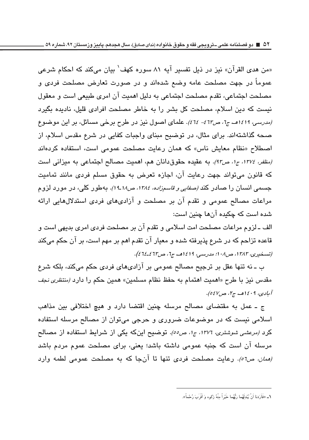ن اسمن هدي القرآن» نيز در ذيل تفسير آيه ٨١ سوره كهف بيان ميكند كه احكام شرعي " عموماً در جهت مصلحت عامه وضع شدهاند و در صورت تعارض مصلحت فردي و مصلحت اجتماعي، تقدم مصلحت اجتماعي به دليل اهميت آن امري طبيعي است و معقول نیست که دین اسلام، مصلحت کل بشر را به خاطر مصلحت افرادی قلیل، نادیده بگیرد /مدرسی، 11/11هـ، ج1، ص17<sup>3</sup>- 16). علمای اصول نیز در طرح برخی مسائل، بر این موضوع صحه گذاشتهاند. برای مثال، در توضیح مبنای واجبات کفایی در شرع مقدس اسلام، از اصطلاح «نظام معایش ناس» که همان رعایت مصلحت عمومی است، استفاده کردهاند *(مظفر، ١٣٧٤، ج۱، ص٩٢).* به عقيده حقوق دانان هم، اهميت مصالح اجتماعي به ميزاني است که قانون می تواند جهت رعایت آن، اجازه تعرض به حقوق مسلم فرد*ی* مانند تمامیت جسمی انسان را صادر کن*د (صفایی و قاسمزاده، ۱۳۸٤، ص۱۸*ـ1*۹).* بهطور کلی، در مورد لزوم مراعات مصالح عمومی و تقدم آن بر مصلحت و آزادیهای فردی استدلالهایی ارائه شده است که چکیده آنها چنین است:

الف ــ لزوم مراعات مصلحت امت اسلامی و تقدم آن بر مصلحت فردی امری بدیهی است و قاعده تزاحم که در شرع پذیرفته شده و معیار آن تقدم اهم بر مهم است، بر آن حکم میکند (تسنخيري، ١٣٨٣، ص١٠٨؛ مدرسي، ١٤١٤هـ ج1، ص٦٢٤-7٤).

ب ــ نه تنها عقل بر ترجیح مصـالـح عمومی بر آزادی۱مای فردی حکم میکند، بلکه شرع مقدس نيز با طرح «اهميت اهتمام به حفظ نظام مسلمين» همين حكم را دارد *(منتظرى نجف* آبادی، ۱٤۰۹هه ج۲، ص۷*٤۷)*.

ج ـ عمل به مقتضاى مصالح مرسله چنین اقتضا دارد و هیچ اختلافی بین مذاهب اسلامی نیست که در موضوعات ضروری و حرجی میتوان از مصالح مرسله استفاده کرد *(مرعشی شوشتری، ۱۳۷*۲، ج۱، ص٥٥). توضیح اینکه یکی از شرایط استفاده از مصالح مرسله آن است که جنبه عمومی داشته باشد؛ یعنی، برای مصلحت عموم مردم باشد *(همان، ص٥٦). ر*عايت مصلحت فردى تنها تا آنجا كه به مصلحت عمومى لطمه وارد

<sup>1</sup>ــ «فارَدنا ان يُبْدِلِهُما رَبَّهُما خَيْرا مِنهُ زَكوه وَ اقربَ رُحْما».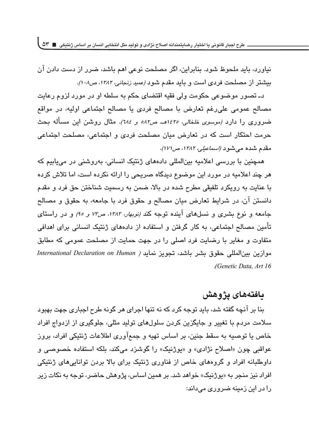نیاورد، باید ملحوظ شود. بنابراین، اگر مصلحت نوعی اهم باشد، ضرر از دست دادن آن بیشتر از مصلحت فرد*ی* است و باید مقدم شود *(عمید زنجانی، ۱۳۸۲، ص۱۰۸)*.

دـ تصور موضوعي حكومت ولي فقيه اقتضاي حكم به سلطه او در مورد لزوم رعايت مصالح عمومی علی رغم تعارض با مصالح فردی یا مصالح اجتماعی اولیه، در مواقع خىرورى را دارد *(موسوى خلخالى، ١٤٢٥هــ ص٨٢ه و ٦٨٤).* مثال روشن اين مساله بحث حرمت احتكار است كه در تعارض ميان مصلحت فردى و اجتماعى الجتماعى مقدم شده میشود *(اسماعیلی، ۱۳۸۲، ص۱۷۱)*.

همچنین با بررسی اعلامیه بینالمللی دادههای ژنتیک انسانی، بهروشنی در میبابیم که هر چند اعلامیه در مورد این موضوع دیدگاه صریحی را ارائه نکرده است، اما تلاش کرده با عنايت به رويكرد تلفيقى مطرح شده در بالا، ضمن به رسميت شناختن حق فرد و مقدم دانستن آن، در شرایط تعارض میان مصالح و حقوق فرد با جامعه، به حقوق و مصالح جامعه و نوع بشری و نسلهای آینده توجه کند *(نوبهار، ۱۳۸۳، ص۳۲ و ۹۵)* و در راستای تأمین مصالح اجتماعی، به کار گرفتن و استفاده از دادههای ژنتیک انسانی برای اهدافی متفاوت و مغایر با رضایت فرد اصلی را در جهت حمایت از مصلحت عمومی که مطابق موازين بين المللي حقوق بشر باشد، تجويز نمايد *( International Declaration on Human 16 Art ,Data Genetic(*

### **مافت**ەھاي يژوهش

ننا بر آنچه گفته شد، باید توجه کرد که نه تنها اجرای هر گونه طرح اجباری جهت بهبود سلامت مردم با تغییر و جایگزین کردن سلولهای تولید مثلی، جلوگیری از ازدواج افراد خاص يا توصيه به سقط جنين، بر اساس تهيه و جمع آوري اطلاعات ژنتيكي افراد، بروز عواقبي چون «اصلاح نژادي» و «يوژنيک» را گوشزد مي کند، بلکه استفاده خصوصي و داوطلبانه افراد و گروههای خاص از فناوری ژنتیک برای بالا بردن توانایی های ژنتیکی افراد نیز منجر به «یوژنیک» خواهد شد. بر همین اساس، پژوهش حاضر، توجه به نکات زیر را در این زمینه ضروری میداند: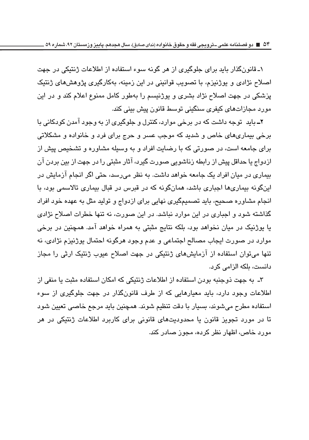۱ـ قانونگذار باید برای جلوگیری از هر گونه سوء استفاده از اطلاعات ژنتیکی در جهت اصلاح نژادی و پوژنیزم، با تصویب قوانینی در این زمینه، بهکارگیری پژوهشهای ژنتیک یزشکی در جهت اصلاح نژاد بشری و پوژنیسم را بهطور کامل ممنوع اعلام کند و در این مورد مجازاتهای کیفری سنگینی توسط قانون پیش بینی کند.

**۲ـ** باید توجه داشت که در برخی موارد، کنترل و جلوگیری از به وجود آمدن کودکانی با برخی بیماریهای خاص و شدید که موجب عسر و حرج برای فرد و خانواده و مشکلاتی برای جامعه است، در صورتی که با رضایت افراد و به وسیله مشاوره و تشخیص پیش از ازدواج یا حداقل پیش از رابطه زناشویی صورت گیرد، آثار مثبتی را در جهت از بین بردن آن بیماری در میان افراد یک جامعه خواهد داشت. به نظر می رسد، حتی اگر انجام آزمایش در اینگونه بیماریها اجباری باشد، همانگونه که در قبرس در قبال بیماری تالاسمی بود، با انجام مشاوره صحیح، باید تصمیمگیری نهایی برای ازدواج و تولید مثل به عهده خود افراد گذاشته شود و اجباری در این موارد نباشد. در این صورت، نه تنها خطرات اصلاح نژادی یا بوژنیک در میان نخواهد بود، بلکه نتایج مثبتی به همراه خواهد آمد. همچنین در برخی موارد در صورت ایجاب مصالح اجتماعی و عدم وجود هرگونه احتمال پوژنیزم نژادی، نه تنها میتوان استفاده از آزمایشهای ژنتیکی در جهت اصلاح عیوب ژنتیک ارثی را مجاز دانست، بلكه الزامى كرد.

۳ـ به جهت ذوجنبه بودن استفاده از اطلاعات ژنتیکی که امکان استفاده مثبت یا منفی از اطلاعات وجود دارد، باید معیارهایی که از طرف قانونگذار در جهت جلوگیری از سوء استفاده مطرح میشوند، بسیار با دقت تنظیم شوند. همچنین باید مرجع خاصبی تعیین شود تا در مورد تجویز قانون یا محدودیتهای قانونی برای کاربرد اطلاعات ژنتیکی در هر مورد خاص، اظهار نظر کرده، محور صادر کند.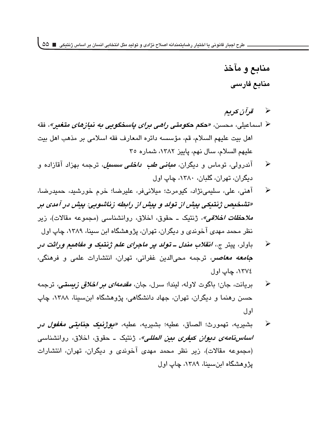منابع و مآخذ منابع فارسى

- قر آن کر پھ  $\rightarrow$
- ﴿ اسماعیلی، محسن، *«حکم حکومتی راهی برای باسخگویی به نیازهای متغیر*»، فقه اهل بيت عليهم السلام، قم، مؤسسه دائره المعارف فقه اسلامي بر مذهب اهل بيت عليهم السلام، سال نهم، ياييز ١٣٨٢، شماره ٣٥
- آندرولی، توماس و دیگران، *مبانی طب داخلی سسبل*، ترجمه بهزاد آقازاده و ➤ ديگران، تهران، گلبان، ١٣٨٠، چاپ اول
- آهني، علي، سليمي،نژاد، کيومرث؛ ميلانيفر، عليرضا؛ خرم خورشيد، حميدرضا، ➤ «تشخيص ژبتيكي پيش از تولد و پيش از رابطه زناشويي: پيش در آمدي بر *ملاحظات اخلاقی»*، ژنتیک ــ حقوق، اخلاق، روانشناسی (مجموعه مقالات)، زیر نظر محمد مهدی آخوندی و دیگران، تهران، پژوهشگاه ابن سبنا، ۱۳۸۹، چاپ اول
- باولر، پیتر ج.، *انقلاب مندل ــ تولد پر ماجرای علم ژنتیک و مفاهیم وراثت د*ر ➤ <mark>ج*امعه معاصر*، ترج</mark>مه محیالدین غفرانی، تهران، انتشارات علمی و فرهنگی، ١٣٧٤، چاپ اول
- بريانت، جان؛ باگوت لاوله، ليندا؛ سرل، جان، *مقدمهای بر اخلاق زيستي،* ترجمه ➤ حسن رهنما و دیگران، تهران، جهاد دانشگاهی، پژوهشگاه اینسینا، ۱۳۸۸، چاپ او ل
- بشيريه، تهمورث؛ الصاق، عطيه؛ بشيريه، عطيه، *«يوژنيک جنايتي مغفول در*  $\blacktriangleright$ *اساس نامهي ديوان كيغري بين المللي»*، ژنتيک ــ حقوق، اخلاق، روانشناسي (مجموعه مقالات)، زیر نظر محمد مهدی آخوندی و دیگران، تهران، انتشارات پژوهشگاه ابنسینا، ۱۳۸۹، چاپ اول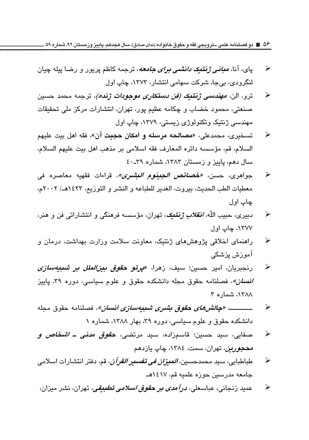**56 دو فصلنامه علمی ـ ترویجی فقه و حقوق خانواده )ندای صادق(، سال هجدهم، پاییز وزمستان ،92 شماره 59**

- $\blacktriangleright$ یای، آنا، *مبانی ژنتیک د<i>انشی برای جامعه***،** ترجمه کاظم پریور و رضا پیله چیان لنگرودی، بے جا، شرکت سهامے انتشار، ۱۳۷۳، چاپ اول
- $\blacktriangleright$ ترو، الن، *مهندسی ژنتیک (فن دستک<i>اری موجودات ژنده)***، تر**جمه محمد حسین صنعتی، محمود خضاب و چکامه عظیم پور، تهران، انتشارات مرکز ملی تحقیقات مهندسي ژنتيک وتکنولوژي زيستي، ۱۳۷۹، چاپ اول
- $\blacktriangleright$ تسخيري، محمدعلي، «**مصالحه مرسله و امكان حجيت** آن»، فقه اهل بيت عليهم السلام، قم، مؤسسه دائره المعارف فقه اسلامي بر مذهب اهل بيت عليهم السلام،  $\Sigma$ سال دهم، یابیز و زمستان ۱۳۸۳، شماره ۳۹ـ٤۰
- $\blacktriangleright$ جواهري، حسن، *«خصائص الجينوم اليشري»،* قراءات فقهيه معاصره في معطيات الطب الحديث، بيروت، الغدير للطباعه و النشر و التوزيع، ١٤٢٣هـ/ ٢٠٠٢م، چاپ اول
- $\blacktriangleright$ دبيري، حبيب الله، *انقلاب ژبتيک، تهر*ان، مؤسسه فرهنگي و انتشاراتي فن و هنر، ١٣٧٧، چاپ اول
- $\blacktriangleright$ راهنمای اخلاقی پژوهشهای ژنتیک، معاونت سلامت وزارت بهداشت، درمان و آموزش بزشکے
- $\blacktriangleright$ رنجبريان، امير حسين؛ سيف، زهرا، «**يرتو حقوق** *بين الملل بن شيبهسازي انسان»*، فصلنامه حقوق مجله دانشکده حقوق و علوم سیاسی، دوره ۳۹، پاییز ١٣٨٨، شماره ٣
- $\blacktriangleright$  1111111111 *0@Zu)@~sN"B\U)[C};X@){Y&@*}^ l3j دانشکده حقوق و علوم سیاسی، دوره ۳۹، بهار ۱۳۸۸، شماره ۱
- $\blacktriangleright$ صفايي، سيد حسين؛ قاسمزاده، سيد مرتضي، **حق***وق مدني ــ اشخاص و محجورين*، تهران، سمت، ١٣٨٤، چاپ يازدهم
- $\blacktriangleright$ طباطبايي، سيد محمدحسين*، المبزان في تفسير القرآن*، قم، دفتر انتشارات اسلامے، جامعه مدرسين حوزه علميه قم، ١٤١٧هـ
- $\blacktriangleright$ عمید زنجان*ی،* عباسعلی، *درآمدی بر حقوق اسلامی تطبیقی،* تهران، نشر میزان،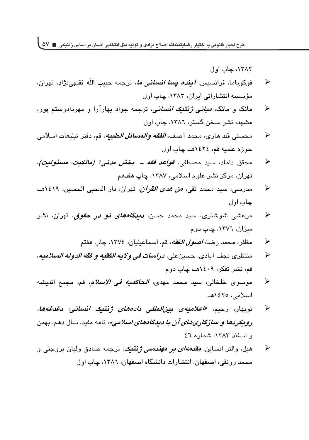۱۳۸۲، چاپ اول

- $\blacktriangleright$ فوكوياما، فرانسيس، *آين<i>ده يسا انساني ما***،** ترجمه حبيب اللّه فقيهىنژاد، تهران، مؤسسه انتشاراتی ایران، ١٣٨٣، چاپ اول
- $\blacktriangleright$ مانگ و مانگ، *مبان<i>ی ژ***نتی***ک انسانی،* **ترج**مه جواد بهارآرا و مهردادرستم پور، مشهد، نشر سخن گستر، ۱۳۸٦، چاپ اول
- $\blacktriangleright$ محسني قند هاري، محمد آصف، *الفقه والمسائل الطعه*، قم، دفتر تبليغات اسلامي حوزه علميه قم، ١٤٢٤هــ، چاپ اول
- $\blacktriangleright$ محقق داماد، سید مصطفی. *قواع<i>د فقه ـ بخش مدنی۱ (مالکیت، مسئولیت)،* تهران، مرکز نشر علوم اسلامی، ۱۳۸۷، چاپ هفدهم
- $\blacktriangleright$ مدرسي، سيد محمد تقي*، من هدي القرآن*، تهران، دار المحبي الحسين، ١٤١٩هـ، چاپ اول
- $\blacktriangleright$ مرعشی شوشتری، سید محمد ح*سن، دیدگاههای نو در حقوق،* تهران، نشر میزان، ۱۳۷٦، چاپ دوم
	- $\blacktriangleright$ مظفر، محمد رضا، *اصول الفقه*، قم، اسماعيليان، ١٣٧٤، چاپ هفتم
- $\blacktriangleright$ منتظري نجف آبادي، حسين علي، *در إسات في ولايه الفقيه و فقه الدوله السلاميه،* قم، نشر تفکر، ۱٤۰۹هـ، چاپ دوم
- $\blacktriangleright$ موسوى خلخالى، سيد محمد مهدى، *الحاكمنه في الاسلام*، قم، مجمع انديشه اسلامى، ١٤٢٥هــ
- $\blacktriangleright$ نوبهار، رحیم، *«اعلامیهی بین|لمللی دادههای ژنتیک انسانی: دغدغهها، رويكردها و سازگارىهاى آن با ديدگاههاى اسلامى»*، نامه مفيد، سال دهم، بهمن  $\epsilon$ و اسفند ۱۳۸۳، شماره ٤٦
- $\blacktriangleright$ هيل، والتر انساين، *مقدمهای بر مهندسی ژنتیک،* ترجمه صادق ولیان بروجنی و محمد رونقي، اصفهان، انتشارات دانشگاه اصفهان، ١٣٨٦، چاپ اول